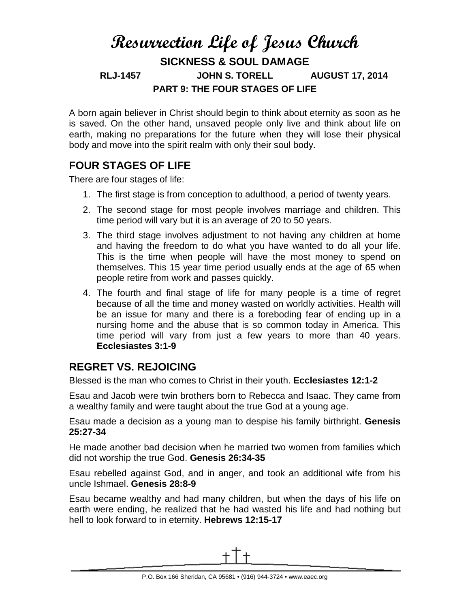# **Resurrection Life of Jesus Church SICKNESS & SOUL DAMAGE RLJ-1457 JOHN S. TORELL AUGUST 17, 2014 PART 9: THE FOUR STAGES OF LIFE**

A born again believer in Christ should begin to think about eternity as soon as he is saved. On the other hand, unsaved people only live and think about life on earth, making no preparations for the future when they will lose their physical body and move into the spirit realm with only their soul body.

# **FOUR STAGES OF LIFE**

There are four stages of life:

- 1. The first stage is from conception to adulthood, a period of twenty years.
- 2. The second stage for most people involves marriage and children. This time period will vary but it is an average of 20 to 50 years.
- 3. The third stage involves adjustment to not having any children at home and having the freedom to do what you have wanted to do all your life. This is the time when people will have the most money to spend on themselves. This 15 year time period usually ends at the age of 65 when people retire from work and passes quickly.
- 4. The fourth and final stage of life for many people is a time of regret because of all the time and money wasted on worldly activities. Health will be an issue for many and there is a foreboding fear of ending up in a nursing home and the abuse that is so common today in America. This time period will vary from just a few years to more than 40 years. **Ecclesiastes 3:1-9**

### **REGRET VS. REJOICING**

Blessed is the man who comes to Christ in their youth. **Ecclesiastes 12:1-2**

Esau and Jacob were twin brothers born to Rebecca and Isaac. They came from a wealthy family and were taught about the true God at a young age.

Esau made a decision as a young man to despise his family birthright. **Genesis 25:27-34**

He made another bad decision when he married two women from families which did not worship the true God. **Genesis 26:34-35**

Esau rebelled against God, and in anger, and took an additional wife from his uncle Ishmael. **Genesis 28:8-9**

Esau became wealthy and had many children, but when the days of his life on earth were ending, he realized that he had wasted his life and had nothing but hell to look forward to in eternity. **Hebrews 12:15-17**